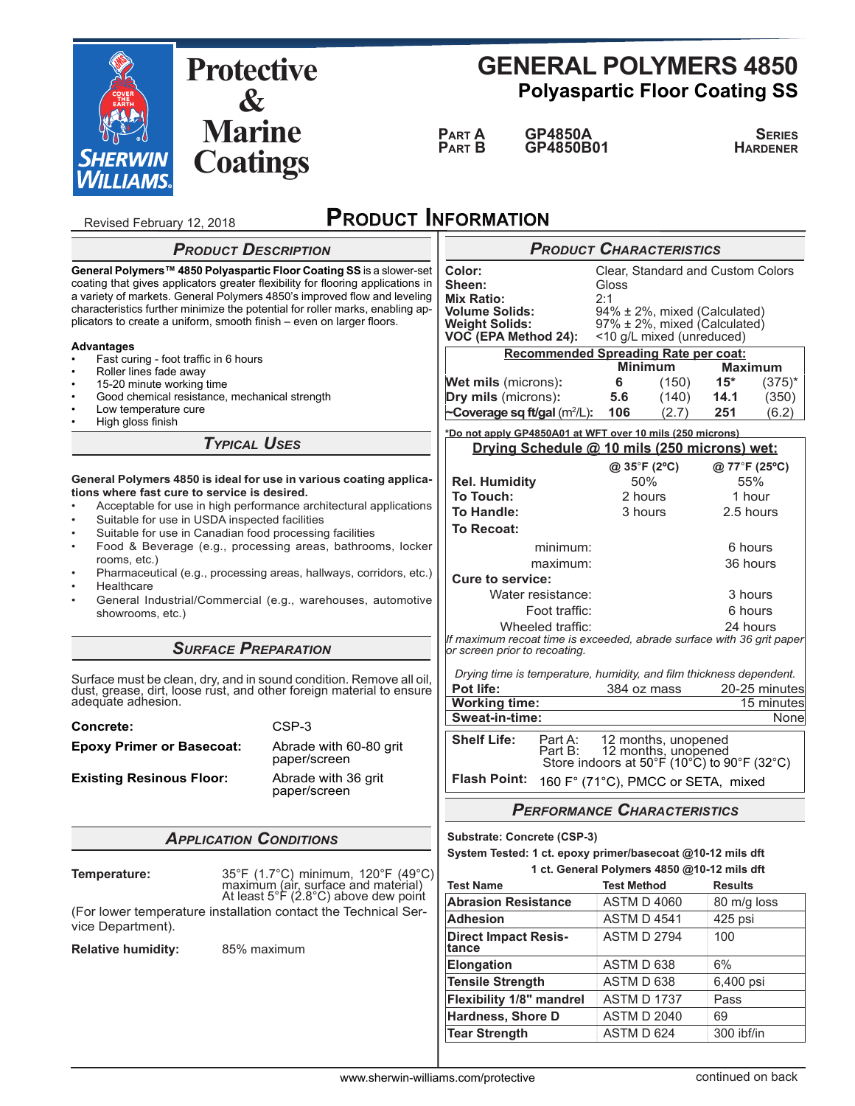

Revised February 12, 2018

ς

# **GENERAL POLYMERS 4850 Polyaspartic Floor Coating SS**

**PARTA** GP4850A SERIE **Part B** GP4850B01 **Hardener** 

# **PRODUCT INFORMATION**

|                                                                                                                                                                                                                                                                                                                                                                                               |                               | <b>PRODUCT DESCRIPTION</b>                                                                                        | <b>PRODUCT CHARACTERISTICS</b>                                                                                  |                                                                                                                                                       |                                                                                                                |                |                    |  |
|-----------------------------------------------------------------------------------------------------------------------------------------------------------------------------------------------------------------------------------------------------------------------------------------------------------------------------------------------------------------------------------------------|-------------------------------|-------------------------------------------------------------------------------------------------------------------|-----------------------------------------------------------------------------------------------------------------|-------------------------------------------------------------------------------------------------------------------------------------------------------|----------------------------------------------------------------------------------------------------------------|----------------|--------------------|--|
| General Polymers™ 4850 Polyaspartic Floor Coating SS is a slower-set<br>coating that gives applicators greater flexibility for flooring applications in<br>a variety of markets. General Polymers 4850's improved flow and leveling<br>characteristics further minimize the potential for roller marks, enabling ap-<br>plicators to create a uniform, smooth finish - even on larger floors. |                               |                                                                                                                   | Color:<br>Sheen:<br><b>Mix Ratio:</b><br><b>Volume Solids:</b><br><b>Weight Solids:</b><br>VOC (EPA Method 24): | Clear, Standard and Custom Colors<br>Gloss<br>2:1<br>94% ± 2%, mixed (Calculated)<br>$97\% \pm 2\%$ , mixed (Calculated)<br><10 g/L mixed (unreduced) |                                                                                                                |                |                    |  |
| <b>Advantages</b>                                                                                                                                                                                                                                                                                                                                                                             |                               |                                                                                                                   | <b>Recommended Spreading Rate per coat:</b>                                                                     |                                                                                                                                                       |                                                                                                                |                |                    |  |
| Fast curing - foot traffic in 6 hours<br>Roller lines fade away                                                                                                                                                                                                                                                                                                                               |                               |                                                                                                                   | <b>Minimum</b><br><b>Maximum</b>                                                                                |                                                                                                                                                       |                                                                                                                |                |                    |  |
| 15-20 minute working time<br>$\bullet$                                                                                                                                                                                                                                                                                                                                                        |                               |                                                                                                                   | <b>Wet mils</b> (microns):                                                                                      | 6                                                                                                                                                     | (150)                                                                                                          | $15*$          | $(375)^{*}$        |  |
| Good chemical resistance, mechanical strength<br>Low temperature cure                                                                                                                                                                                                                                                                                                                         |                               |                                                                                                                   | Dry mils (microns):                                                                                             | 5.6                                                                                                                                                   | (140)                                                                                                          | 14.1           | (350)              |  |
| High gloss finish                                                                                                                                                                                                                                                                                                                                                                             |                               |                                                                                                                   | ~Coverage sq ft/gal (m <sup>2</sup> /L):                                                                        | 106                                                                                                                                                   | (2.7)                                                                                                          | 251            | (6.2)              |  |
|                                                                                                                                                                                                                                                                                                                                                                                               | <b>TYPICAL USES</b>           | *Do not apply GP4850A01 at WFT over 10 mils (250 microns)<br>Drying Schedule @ 10 mils (250 microns) wet:         |                                                                                                                 |                                                                                                                                                       |                                                                                                                |                |                    |  |
|                                                                                                                                                                                                                                                                                                                                                                                               |                               |                                                                                                                   |                                                                                                                 |                                                                                                                                                       | @ 35°F (2°C)                                                                                                   | @ 77°F (25°C)  |                    |  |
|                                                                                                                                                                                                                                                                                                                                                                                               |                               | General Polymers 4850 is ideal for use in various coating applica-                                                | <b>Rel. Humidity</b>                                                                                            |                                                                                                                                                       | 50%                                                                                                            |                | 55%                |  |
| tions where fast cure to service is desired.                                                                                                                                                                                                                                                                                                                                                  |                               |                                                                                                                   | To Touch:                                                                                                       |                                                                                                                                                       | 2 hours                                                                                                        |                | 1 hour             |  |
| Acceptable for use in high performance architectural applications<br>Suitable for use in USDA inspected facilities                                                                                                                                                                                                                                                                            |                               |                                                                                                                   | To Handle:                                                                                                      |                                                                                                                                                       | 3 hours                                                                                                        | 2.5 hours      |                    |  |
| Suitable for use in Canadian food processing facilities<br>$\bullet$                                                                                                                                                                                                                                                                                                                          |                               |                                                                                                                   | To Recoat:                                                                                                      |                                                                                                                                                       |                                                                                                                |                |                    |  |
| Food & Beverage (e.g., processing areas, bathrooms, locker                                                                                                                                                                                                                                                                                                                                    |                               |                                                                                                                   | minimum:                                                                                                        |                                                                                                                                                       |                                                                                                                | 6 hours        |                    |  |
| rooms, etc.)<br>Pharmaceutical (e.g., processing areas, hallways, corridors, etc.)<br>$\bullet$                                                                                                                                                                                                                                                                                               |                               |                                                                                                                   | maximum:                                                                                                        |                                                                                                                                                       |                                                                                                                | 36 hours       |                    |  |
| Healthcare<br>$\bullet$                                                                                                                                                                                                                                                                                                                                                                       |                               |                                                                                                                   | <b>Cure to service:</b>                                                                                         |                                                                                                                                                       |                                                                                                                |                |                    |  |
| General Industrial/Commercial (e.g., warehouses, automotive<br>$\bullet$                                                                                                                                                                                                                                                                                                                      |                               |                                                                                                                   | Water resistance:                                                                                               |                                                                                                                                                       |                                                                                                                | 3 hours        |                    |  |
| showrooms, etc.)                                                                                                                                                                                                                                                                                                                                                                              |                               |                                                                                                                   | Foot traffic:                                                                                                   |                                                                                                                                                       |                                                                                                                | 6 hours        |                    |  |
|                                                                                                                                                                                                                                                                                                                                                                                               |                               |                                                                                                                   | Wheeled traffic:<br>If maximum recoat time is exceeded, abrade surface with 36 grit paper                       |                                                                                                                                                       |                                                                                                                | 24 hours       |                    |  |
|                                                                                                                                                                                                                                                                                                                                                                                               |                               | <b>SURFACE PREPARATION</b>                                                                                        | or screen prior to recoating.                                                                                   |                                                                                                                                                       |                                                                                                                |                |                    |  |
|                                                                                                                                                                                                                                                                                                                                                                                               |                               |                                                                                                                   | Drying time is temperature, humidity, and film thickness dependent.                                             |                                                                                                                                                       |                                                                                                                |                |                    |  |
| Surface must be clean, dry, and in sound condition. Remove all oil,<br>dust, grease, dirt, loose rust, and other foreign material to ensure<br>adequate adhesion.                                                                                                                                                                                                                             |                               |                                                                                                                   | Pot life:                                                                                                       |                                                                                                                                                       | 384 oz mass<br>20-25 minutes                                                                                   |                |                    |  |
|                                                                                                                                                                                                                                                                                                                                                                                               |                               |                                                                                                                   | <b>Working time:</b><br>Sweat-in-time:                                                                          |                                                                                                                                                       |                                                                                                                |                | 15 minutes<br>None |  |
| Concrete:                                                                                                                                                                                                                                                                                                                                                                                     |                               | CSP-3                                                                                                             |                                                                                                                 |                                                                                                                                                       |                                                                                                                |                |                    |  |
| <b>Epoxy Primer or Basecoat:</b>                                                                                                                                                                                                                                                                                                                                                              |                               | Abrade with 60-80 grit<br>paper/screen                                                                            | <b>Shelf Life:</b><br>Part A:<br>Part B:                                                                        |                                                                                                                                                       | 12 months, unopened<br>Part B: $\overline{12}$ months, unopened<br>Store indoors at 50°F (10°C) to 90°F (32°C) |                |                    |  |
| <b>Existing Resinous Floor:</b><br>Abrade with 36 grit<br>paper/screen                                                                                                                                                                                                                                                                                                                        |                               |                                                                                                                   | Flash Point: 160 F° (71°C), PMCC or SETA, mixed                                                                 |                                                                                                                                                       |                                                                                                                |                |                    |  |
|                                                                                                                                                                                                                                                                                                                                                                                               |                               |                                                                                                                   | <b>PERFORMANCE CHARACTERISTICS</b>                                                                              |                                                                                                                                                       |                                                                                                                |                |                    |  |
|                                                                                                                                                                                                                                                                                                                                                                                               | <b>APPLICATION CONDITIONS</b> | Substrate: Concrete (CSP-3)                                                                                       |                                                                                                                 |                                                                                                                                                       |                                                                                                                |                |                    |  |
|                                                                                                                                                                                                                                                                                                                                                                                               |                               |                                                                                                                   | System Tested: 1 ct. epoxy primer/basecoat @10-12 mils dft                                                      |                                                                                                                                                       |                                                                                                                |                |                    |  |
| Temperature:                                                                                                                                                                                                                                                                                                                                                                                  |                               |                                                                                                                   | 1 ct. General Polymers 4850 @10-12 mils dft                                                                     |                                                                                                                                                       |                                                                                                                |                |                    |  |
|                                                                                                                                                                                                                                                                                                                                                                                               |                               | 35°F (1.7°C) minimum, 120°F (49°C)<br>maximum (air, surface and material)<br>At least 5°F (2.8°C) above dew point | <b>Test Name</b>                                                                                                | <b>Test Method</b>                                                                                                                                    |                                                                                                                | <b>Results</b> |                    |  |
|                                                                                                                                                                                                                                                                                                                                                                                               |                               | (For lower temperature installation contact the Technical Ser-                                                    | <b>Abrasion Resistance</b>                                                                                      |                                                                                                                                                       | <b>ASTM D 4060</b>                                                                                             | 80 m/g loss    |                    |  |
| vice Department).                                                                                                                                                                                                                                                                                                                                                                             |                               |                                                                                                                   | Adhesion                                                                                                        |                                                                                                                                                       | <b>ASTM D 4541</b>                                                                                             | 425 psi        |                    |  |
| <b>Relative humidity:</b>                                                                                                                                                                                                                                                                                                                                                                     |                               | 85% maximum                                                                                                       | <b>Direct Impact Resis-</b><br>tance                                                                            |                                                                                                                                                       | <b>ASTM D 2794</b>                                                                                             | 100            |                    |  |
|                                                                                                                                                                                                                                                                                                                                                                                               |                               |                                                                                                                   | <b>Elongation</b>                                                                                               | ASTM D 638                                                                                                                                            |                                                                                                                | 6%             |                    |  |
|                                                                                                                                                                                                                                                                                                                                                                                               |                               |                                                                                                                   | <b>Tensile Strength</b>                                                                                         | ASTM D 638                                                                                                                                            |                                                                                                                | 6,400 psi      |                    |  |
|                                                                                                                                                                                                                                                                                                                                                                                               |                               |                                                                                                                   | Flexibility 1/8" mandrel                                                                                        |                                                                                                                                                       | <b>ASTM D 1737</b>                                                                                             | Pass           |                    |  |
|                                                                                                                                                                                                                                                                                                                                                                                               |                               |                                                                                                                   | <b>Hardness, Shore D</b>                                                                                        |                                                                                                                                                       | <b>ASTM D 2040</b>                                                                                             | 69             |                    |  |
|                                                                                                                                                                                                                                                                                                                                                                                               |                               |                                                                                                                   | <b>Tear Strength</b>                                                                                            | ASTM D 624                                                                                                                                            |                                                                                                                | 300 ibf/in     |                    |  |